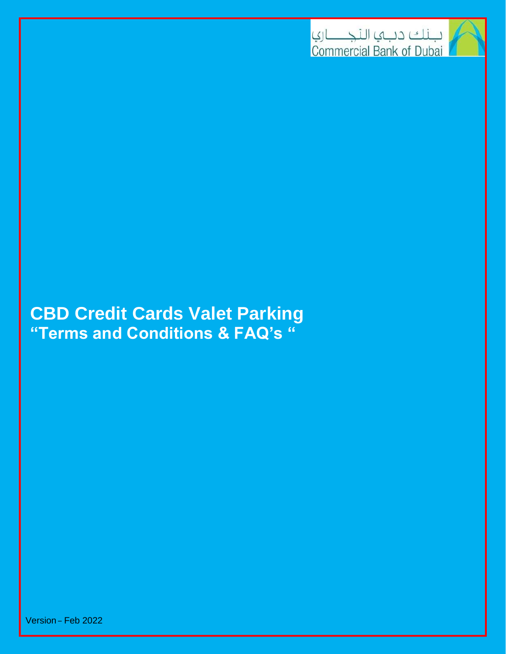

# **CBD Credit Cards Valet Parking "Terms and Conditions & FAQ's "**

Version – Feb 2022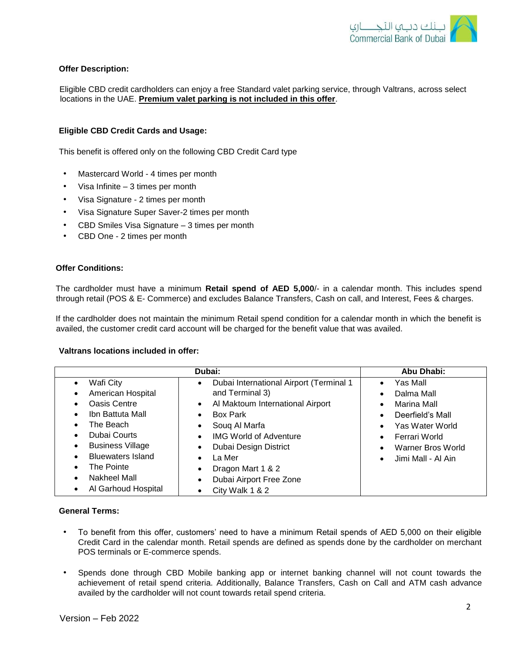

# **Offer Description:**

Eligible CBD credit cardholders can enjoy a free Standard valet parking service, through Valtrans, across select locations in the UAE. **Premium valet parking is not included in this offer**.

#### **Eligible CBD Credit Cards and Usage:**

This benefit is offered only on the following CBD Credit Card type

- Mastercard World 4 times per month
- Visa Infinite 3 times per month
- Visa Signature 2 times per month
- Visa Signature Super Saver-2 times per month
- CBD Smiles Visa Signature 3 times per month
- CBD One 2 times per month

# **Offer Conditions:**

The cardholder must have a minimum **Retail spend of AED 5,000**/- in a calendar month. This includes spend through retail (POS & E- Commerce) and excludes Balance Transfers, Cash on call, and Interest, Fees & charges.

If the cardholder does not maintain the minimum Retail spend condition for a calendar month in which the benefit is availed, the customer credit card account will be charged for the benefit value that was availed.

#### **Valtrans locations included in offer:**

# **General Terms:**

- To benefit from this offer, customers' need to have a minimum Retail spends of AED 5,000 on their eligible Credit Card in the calendar month. Retail spends are defined as spends done by the cardholder on merchant POS terminals or E-commerce spends.
- Spends done through CBD Mobile banking app or internet banking channel will not count towards the achievement of retail spend criteria. Additionally, Balance Transfers, Cash on Call and ATM cash advance availed by the cardholder will not count towards retail spend criteria.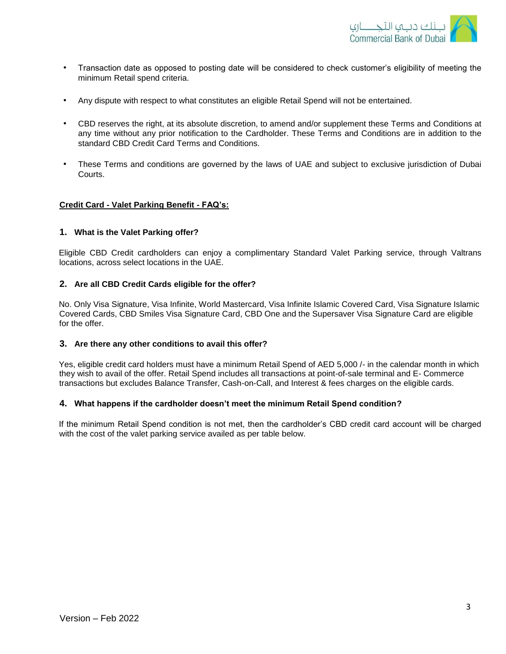

- Transaction date as opposed to posting date will be considered to check customer's eligibility of meeting the minimum Retail spend criteria.
- Any dispute with respect to what constitutes an eligible Retail Spend will not be entertained.
- CBD reserves the right, at its absolute discretion, to amend and/or supplement these Terms and Conditions at any time without any prior notification to the Cardholder. These Terms and Conditions are in addition to the standard CBD Credit Card Terms and Conditions.
- These Terms and conditions are governed by the laws of UAE and subject to exclusive jurisdiction of Dubai Courts.

# **Credit Card - Valet Parking Benefit - FAQ's:**

#### **1. What is the Valet Parking offer?**

Eligible CBD Credit cardholders can enjoy a complimentary Standard Valet Parking service, through Valtrans locations, across select locations in the UAE.

# **2. Are all CBD Credit Cards eligible for the offer?**

No. Only Visa Signature, Visa Infinite, World Mastercard, Visa Infinite Islamic Covered Card, Visa Signature Islamic Covered Cards, CBD Smiles Visa Signature Card, CBD One and the Supersaver Visa Signature Card are eligible for the offer.

#### **3. Are there any other conditions to avail this offer?**

Yes, eligible credit card holders must have a minimum Retail Spend of AED 5,000 /- in the calendar month in which they wish to avail of the offer. Retail Spend includes all transactions at point-of-sale terminal and E- Commerce transactions but excludes Balance Transfer, Cash-on-Call, and Interest & fees charges on the eligible cards.

#### **4. What happens if the cardholder doesn't meet the minimum Retail Spend condition?**

If the minimum Retail Spend condition is not met, then the cardholder's CBD credit card account will be charged with the cost of the valet parking service availed as per table below.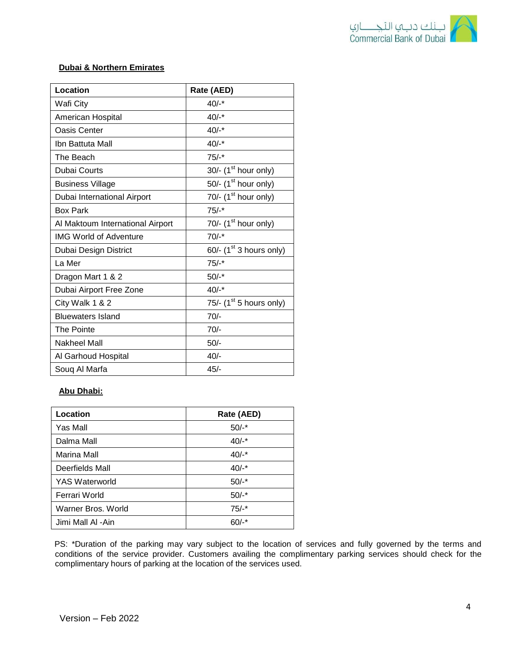

# **Dubai & Northern Emirates**

| Location                         | Rate (AED)                             |
|----------------------------------|----------------------------------------|
| Wafi City                        | $40/-$ *                               |
| American Hospital                | $40/-$ *                               |
| Oasis Center                     | $40/-$ *                               |
| Ibn Battuta Mall                 | $40/-$ *                               |
| The Beach                        | $75/-$ *                               |
| <b>Dubai Courts</b>              | 30/- $(1st hour only)$                 |
| <b>Business Village</b>          | 50/- $(1st hour only)$                 |
| Dubai International Airport      | 70/- $(1st hour only)$                 |
| <b>Box Park</b>                  | $75/-$ *                               |
| Al Maktoum International Airport | 70/- $(1st hour only)$                 |
| <b>IMG World of Adventure</b>    | $70/-$ *                               |
| Dubai Design District            | $60$ /- (1 <sup>st</sup> 3 hours only) |
| La Mer                           | $75/-$ *                               |
| Dragon Mart 1 & 2                | $50/-$ *                               |
| Dubai Airport Free Zone          | $40/-$ *                               |
| City Walk 1 & 2                  | 75/- $(1st 5 hours only)$              |
| <b>Bluewaters Island</b>         | $70/-$                                 |
| The Pointe                       | $70/-$                                 |
| Nakheel Mall                     | $50/-$                                 |
| Al Garhoud Hospital              | $40/-$                                 |
| Soug Al Marfa                    | $45/-$                                 |

# **Abu Dhabi:**

| Location              | Rate (AED) |
|-----------------------|------------|
| Yas Mall              | $50/-$ *   |
| Dalma Mall            | $40/-$ *   |
| Marina Mall           | $40/-$ *   |
| Deerfields Mall       | $40/-$ *   |
| <b>YAS Waterworld</b> | $50/-$ *   |
| Ferrari World         | $50/-$ *   |
| Warner Bros, World    | $75/-$ *   |
| Jimi Mall Al -Ain     | $60/-$ *   |

PS: \*Duration of the parking may vary subject to the location of services and fully governed by the terms and conditions of the service provider. Customers availing the complimentary parking services should check for the complimentary hours of parking at the location of the services used.